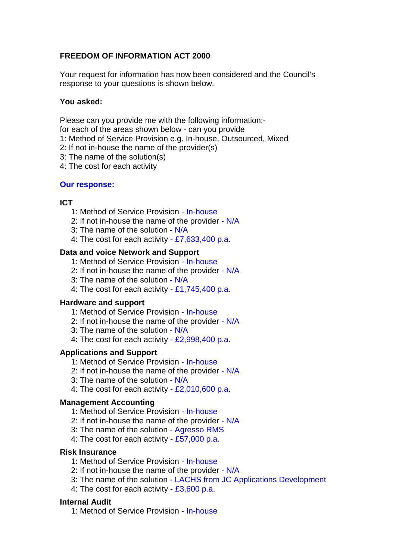# **FREEDOM OF INFORMATION ACT 2000**

Your request for information has now been considered and the Council's response to your questions is shown below.

# **You asked:**

Please can you provide me with the following information;-

for each of the areas shown below - can you provide

- 1: Method of Service Provision e.g. In-house, Outsourced, Mixed
- 2: If not in-house the name of the provider(s)
- 3: The name of the solution(s)
- 4: The cost for each activity

## **Our response:**

# **ICT**

- 1: Method of Service Provision In-house
- 2: If not in-house the name of the provider N/A
- 3: The name of the solution N/A
- 4: The cost for each activity £7,633,400 p.a.

## **Data and voice Network and Support**

- 1: Method of Service Provision In-house
- 2: If not in-house the name of the provider N/A
- 3: The name of the solution N/A
- 4: The cost for each activity £1,745,400 p.a.

## **Hardware and support**

- 1: Method of Service Provision In-house
- 2: If not in-house the name of the provider N/A
- 3: The name of the solution N/A
- 4: The cost for each activity £2,998,400 p.a.

## **Applications and Support**

- 1: Method of Service Provision In-house
- 2: If not in-house the name of the provider N/A
- 3: The name of the solution N/A
- 4: The cost for each activity  $-$  £2,010,600 p.a.

## **Management Accounting**

- 1: Method of Service Provision In-house
- 2: If not in-house the name of the provider N/A
- 3: The name of the solution Agresso RMS
- 4: The cost for each activity £57,000 p.a.

## **Risk Insurance**

- 1: Method of Service Provision In-house
- 2: If not in-house the name of the provider N/A
- 3: The name of the solution LACHS from JC Applications Development
- 4: The cost for each activity  $-23,600$  p.a.

## **Internal Audit**

1: Method of Service Provision - In-house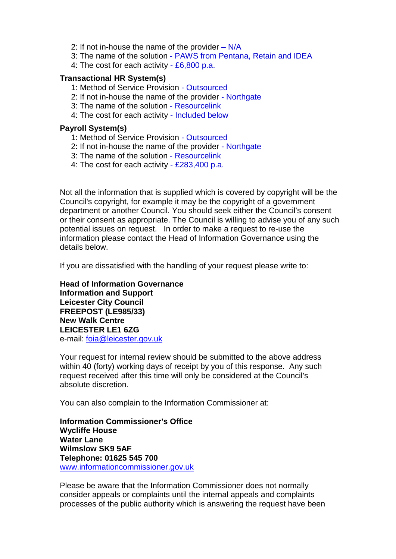- 2: If not in-house the name of the provider  $N/A$
- 3: The name of the solution PAWS from Pentana, Retain and IDEA
- 4: The cost for each activity £6,800 p.a.

#### **Transactional HR System(s)**

- 1: Method of Service Provision Outsourced
- 2: If not in-house the name of the provider Northgate
- 3: The name of the solution Resourcelink
- 4: The cost for each activity Included below

#### **Payroll System(s)**

- 1: Method of Service Provision Outsourced
- 2: If not in-house the name of the provider Northgate
- 3: The name of the solution Resourcelink
- 4: The cost for each activity £283,400 p.a.

Not all the information that is supplied which is covered by copyright will be the Council's copyright, for example it may be the copyright of a government department or another Council. You should seek either the Council's consent or their consent as appropriate. The Council is willing to advise you of any such potential issues on request. In order to make a request to re-use the information please contact the Head of Information Governance using the details below.

If you are dissatisfied with the handling of your request please write to:

**Head of Information Governance Information and Support Leicester City Council FREEPOST (LE985/33) New Walk Centre LEICESTER LE1 6ZG**  e-mail: [foia@leicester.gov.uk](mailto:foia@leicester.gov.uk)

Your request for internal review should be submitted to the above address within 40 (forty) working days of receipt by you of this response. Any such request received after this time will only be considered at the Council's absolute discretion.

You can also complain to the Information Commissioner at:

**Information Commissioner's Office Wycliffe House Water Lane Wilmslow SK9 5AF Telephone: 01625 545 700**  www.informationcommissioner.gov.uk

Please be aware that the Information Commissioner does not normally consider appeals or complaints until the internal appeals and complaints processes of the public authority which is answering the request have been